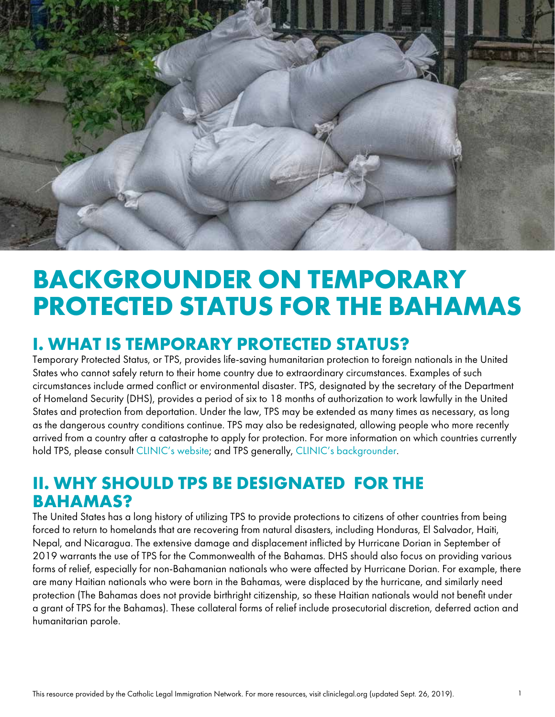

# **BACKGROUNDER ON TEMPORARY PROTECTED STATUS FOR THE BAHAMAS**

### **I. WHAT IS TEMPORARY PROTECTED STATUS?**

Temporary Protected Status, or TPS, provides life-saving humanitarian protection to foreign nationals in the United States who cannot safely return to their home country due to extraordinary circumstances. Examples of such circumstances include armed conflict or environmental disaster. TPS, designated by the secretary of the Department of Homeland Security (DHS), provides a period of six to 18 months of authorization to work lawfully in the United States and protection from deportation. Under the law, TPS may be extended as many times as necessary, as long as the dangerous country conditions continue. TPS may also be redesignated, allowing people who more recently arrived from a country after a catastrophe to apply for protection. For more information on which countries currently hold TPS, please consult [CLINIC's website;](https://cliniclegal.org/tps) and TPS generally, [CLINIC's backgrounder](https://cliniclegal.org/resources/temporary-protected-status-comprehensive-backgrounder).

#### **II. WHY SHOULD TPS BE DESIGNATED FOR THE BAHAMAS?**

The United States has a long history of utilizing TPS to provide protections to citizens of other countries from being forced to return to homelands that are recovering from natural disasters, including Honduras, El Salvador, Haiti, Nepal, and Nicaragua. The extensive damage and displacement inflicted by Hurricane Dorian in September of 2019 warrants the use of TPS for the Commonwealth of the Bahamas. DHS should also focus on providing various forms of relief, especially for non-Bahamanian nationals who were affected by Hurricane Dorian. For example, there are many Haitian nationals who were born in the Bahamas, were displaced by the hurricane, and similarly need protection (The Bahamas does not provide birthright citizenship, so these Haitian nationals would not benefit under a grant of TPS for the Bahamas). These collateral forms of relief include prosecutorial discretion, deferred action and humanitarian parole.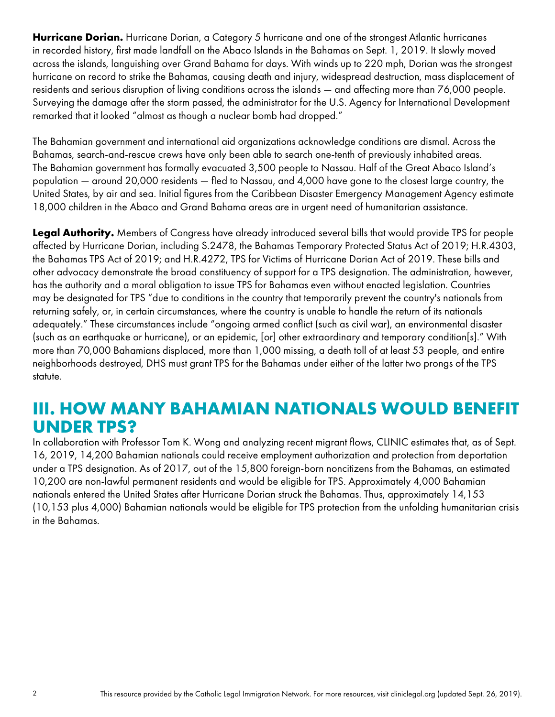**Hurricane Dorian.** Hurricane Dorian, a Category 5 hurricane and one of the strongest Atlantic hurricanes in recorded history, first made landfall on the Abaco Islands in the Bahamas on Sept. 1, 2019. It slowly moved across the islands, languishing over Grand Bahama for days. With winds up to 220 mph, Dorian was the strongest hurricane on record to strike the Bahamas, causing death and injury, widespread destruction, mass displacement of residents and serious disruption of living conditions across the islands — and affecting more than 76,000 people. Surveying the damage after the storm passed, the administrator for the U.S. Agency for International Development remarked that it looked "almost as though a nuclear bomb had dropped."

The Bahamian government and international aid organizations acknowledge conditions are dismal. Across the Bahamas, search-and-rescue crews have only been able to search one-tenth of previously inhabited areas. The Bahamian government has formally evacuated 3,500 people to Nassau. Half of the Great Abaco Island's population — around 20,000 residents — fled to Nassau, and 4,000 have gone to the closest large country, the United States, by air and sea. Initial figures from the Caribbean Disaster Emergency Management Agency estimate 18,000 children in the Abaco and Grand Bahama areas are in urgent need of humanitarian assistance.

**Legal Authority.** Members of Congress have already introduced several bills that would provide TPS for people affected by Hurricane Dorian, including S.2478, the Bahamas Temporary Protected Status Act of 2019; H.R.4303, the Bahamas TPS Act of 2019; and H.R.4272, TPS for Victims of Hurricane Dorian Act of 2019. These bills and other advocacy demonstrate the broad constituency of support for a TPS designation. The administration, however, has the authority and a moral obligation to issue TPS for Bahamas even without enacted legislation. Countries may be designated for TPS "due to conditions in the country that temporarily prevent the country's nationals from returning safely, or, in certain circumstances, where the country is unable to handle the return of its nationals adequately." These circumstances include "ongoing armed conflict (such as civil war), an environmental disaster (such as an earthquake or hurricane), or an epidemic, [or] other extraordinary and temporary condition[s]." With more than 70,000 Bahamians displaced, more than 1,000 missing, a death toll of at least 53 people, and entire neighborhoods destroyed, DHS must grant TPS for the Bahamas under either of the latter two prongs of the TPS statute.

#### **III. HOW MANY BAHAMIAN NATIONALS WOULD BENEFIT UNDER TPS?**

In collaboration with Professor Tom K. Wong and analyzing recent migrant flows, CLINIC estimates that, as of Sept. 16, 2019, 14,200 Bahamian nationals could receive employment authorization and protection from deportation under a TPS designation. As of 2017, out of the 15,800 foreign-born noncitizens from the Bahamas, an estimated 10,200 are non-lawful permanent residents and would be eligible for TPS. Approximately 4,000 Bahamian nationals entered the United States after Hurricane Dorian struck the Bahamas. Thus, approximately 14,153 (10,153 plus 4,000) Bahamian nationals would be eligible for TPS protection from the unfolding humanitarian crisis in the Bahamas.